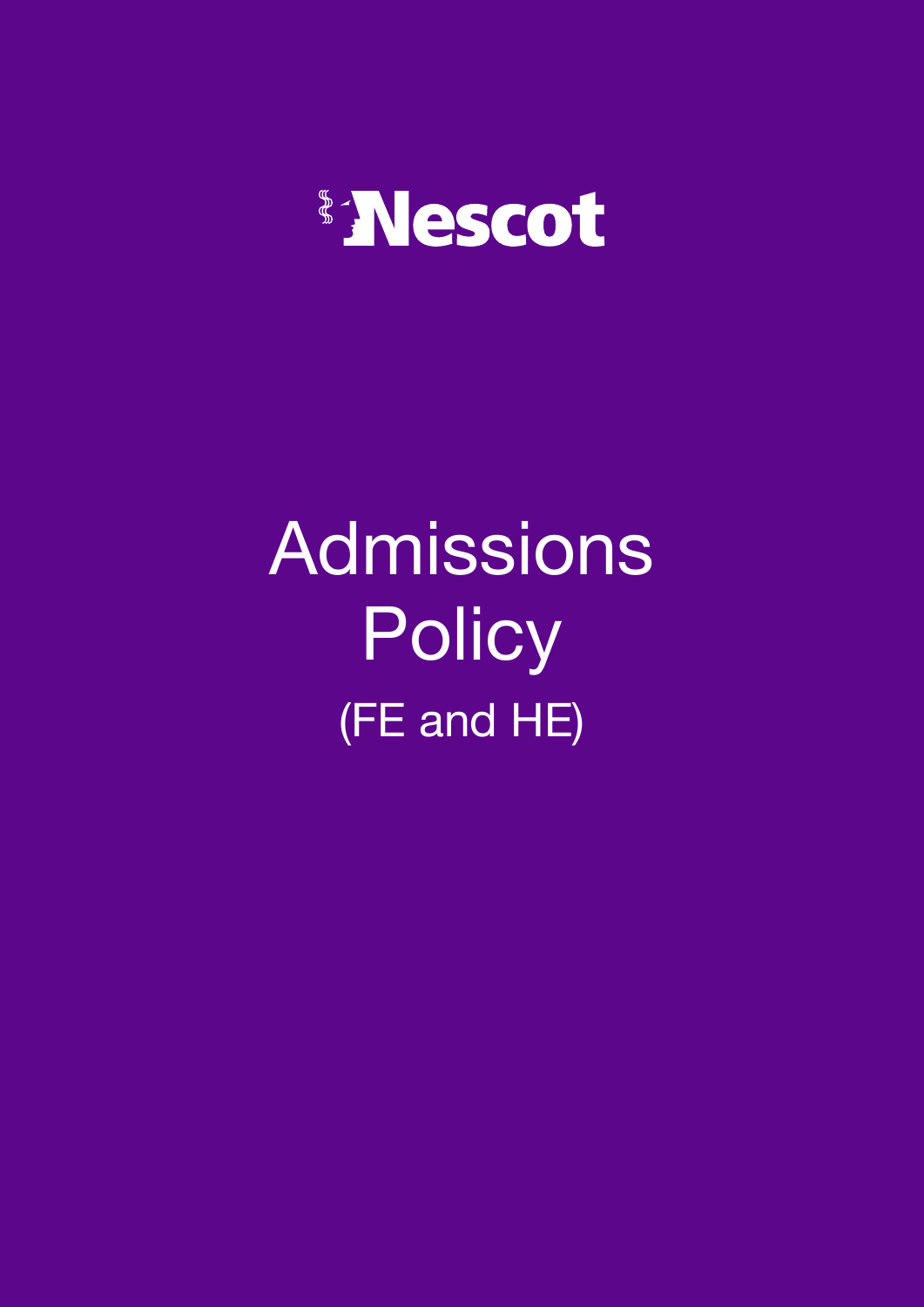

# Admissions **Policy** (FE and HE)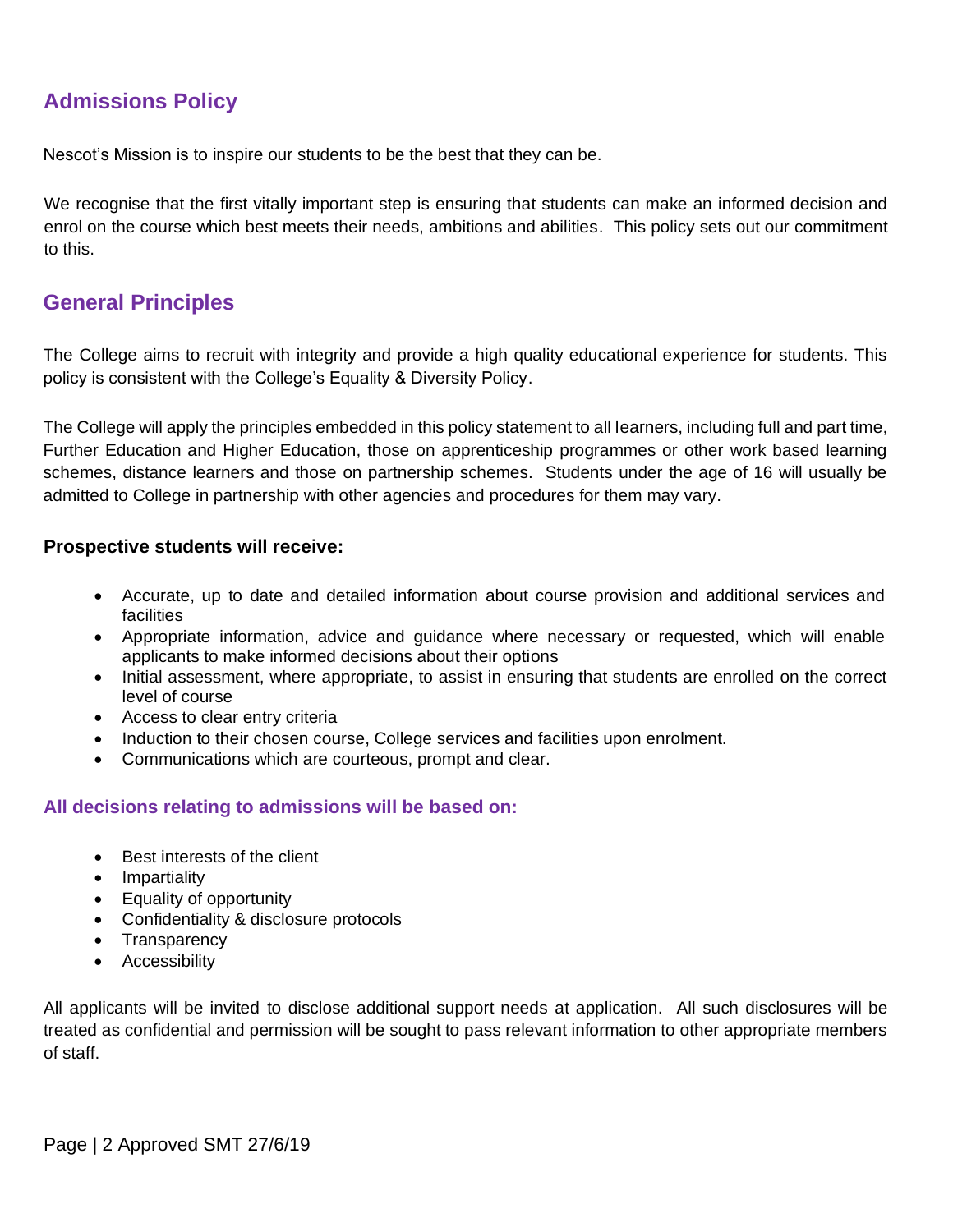# **Admissions Policy**

Nescot's Mission is to inspire our students to be the best that they can be.

We recognise that the first vitally important step is ensuring that students can make an informed decision and enrol on the course which best meets their needs, ambitions and abilities. This policy sets out our commitment to this.

## **General Principles**

The College aims to recruit with integrity and provide a high quality educational experience for students. This policy is consistent with the College's Equality & Diversity Policy.

The College will apply the principles embedded in this policy statement to all learners, including full and part time, Further Education and Higher Education, those on apprenticeship programmes or other work based learning schemes, distance learners and those on partnership schemes. Students under the age of 16 will usually be admitted to College in partnership with other agencies and procedures for them may vary.

#### **Prospective students will receive:**

- Accurate, up to date and detailed information about course provision and additional services and facilities
- Appropriate information, advice and guidance where necessary or requested, which will enable applicants to make informed decisions about their options
- Initial assessment, where appropriate, to assist in ensuring that students are enrolled on the correct level of course
- Access to clear entry criteria
- Induction to their chosen course, College services and facilities upon enrolment.
- Communications which are courteous, prompt and clear.

### **All decisions relating to admissions will be based on:**

- Best interests of the client
- Impartiality
- Equality of opportunity
- Confidentiality & disclosure protocols
- Transparency
- Accessibility

All applicants will be invited to disclose additional support needs at application. All such disclosures will be treated as confidential and permission will be sought to pass relevant information to other appropriate members of staff.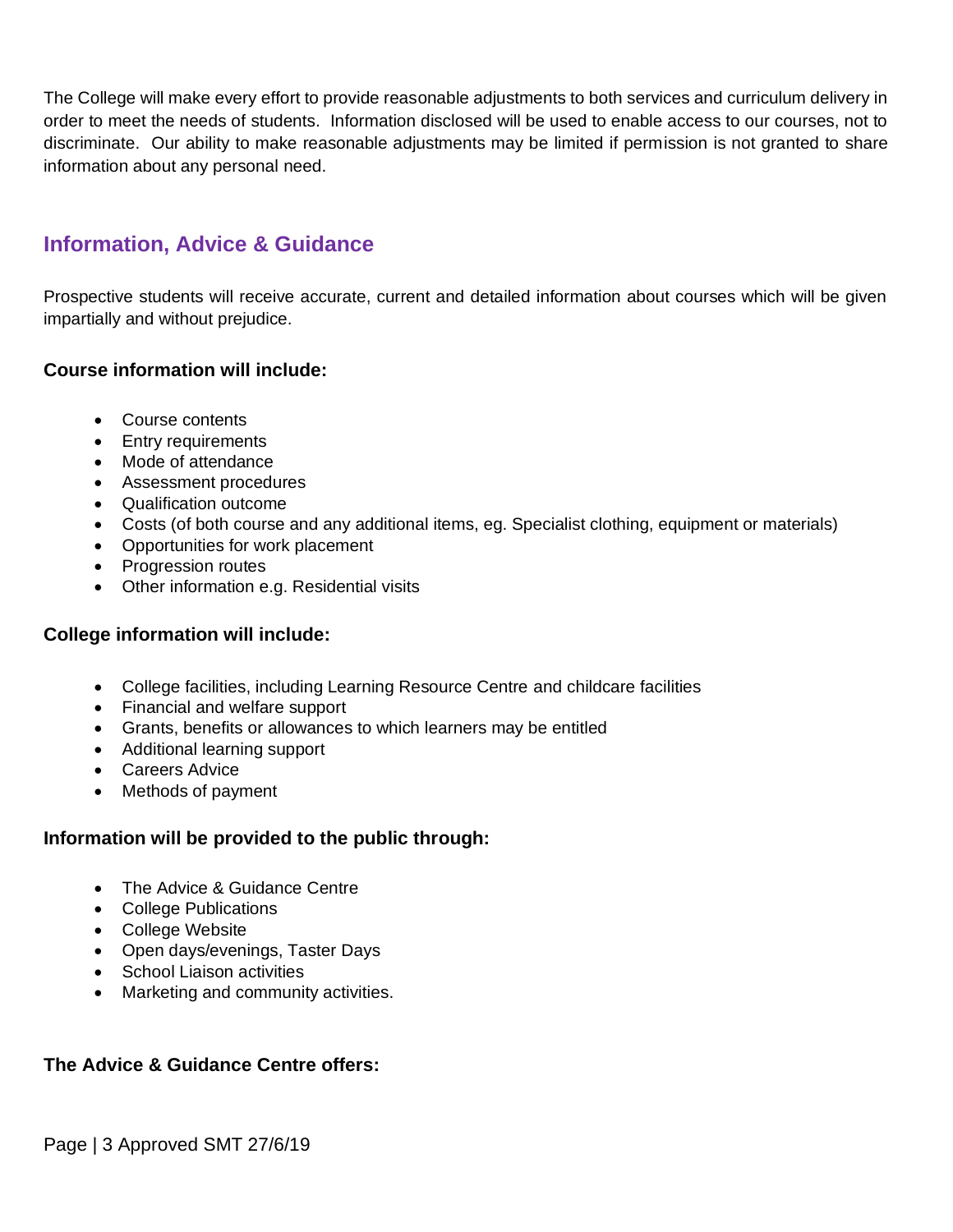The College will make every effort to provide reasonable adjustments to both services and curriculum delivery in order to meet the needs of students. Information disclosed will be used to enable access to our courses, not to discriminate. Our ability to make reasonable adjustments may be limited if permission is not granted to share information about any personal need.

# **Information, Advice & Guidance**

Prospective students will receive accurate, current and detailed information about courses which will be given impartially and without prejudice.

## **Course information will include:**

- Course contents
- Entry requirements
- Mode of attendance
- Assessment procedures
- Qualification outcome
- Costs (of both course and any additional items, eg. Specialist clothing, equipment or materials)
- Opportunities for work placement
- Progression routes
- Other information e.g. Residential visits

### **College information will include:**

- College facilities, including Learning Resource Centre and childcare facilities
- Financial and welfare support
- Grants, benefits or allowances to which learners may be entitled
- Additional learning support
- Careers Advice
- Methods of payment

### **Information will be provided to the public through:**

- The Advice & Guidance Centre
- College Publications
- College Website
- Open days/evenings, Taster Days
- School Liaison activities
- Marketing and community activities.

### **The Advice & Guidance Centre offers:**

Page | 3 Approved SMT 27/6/19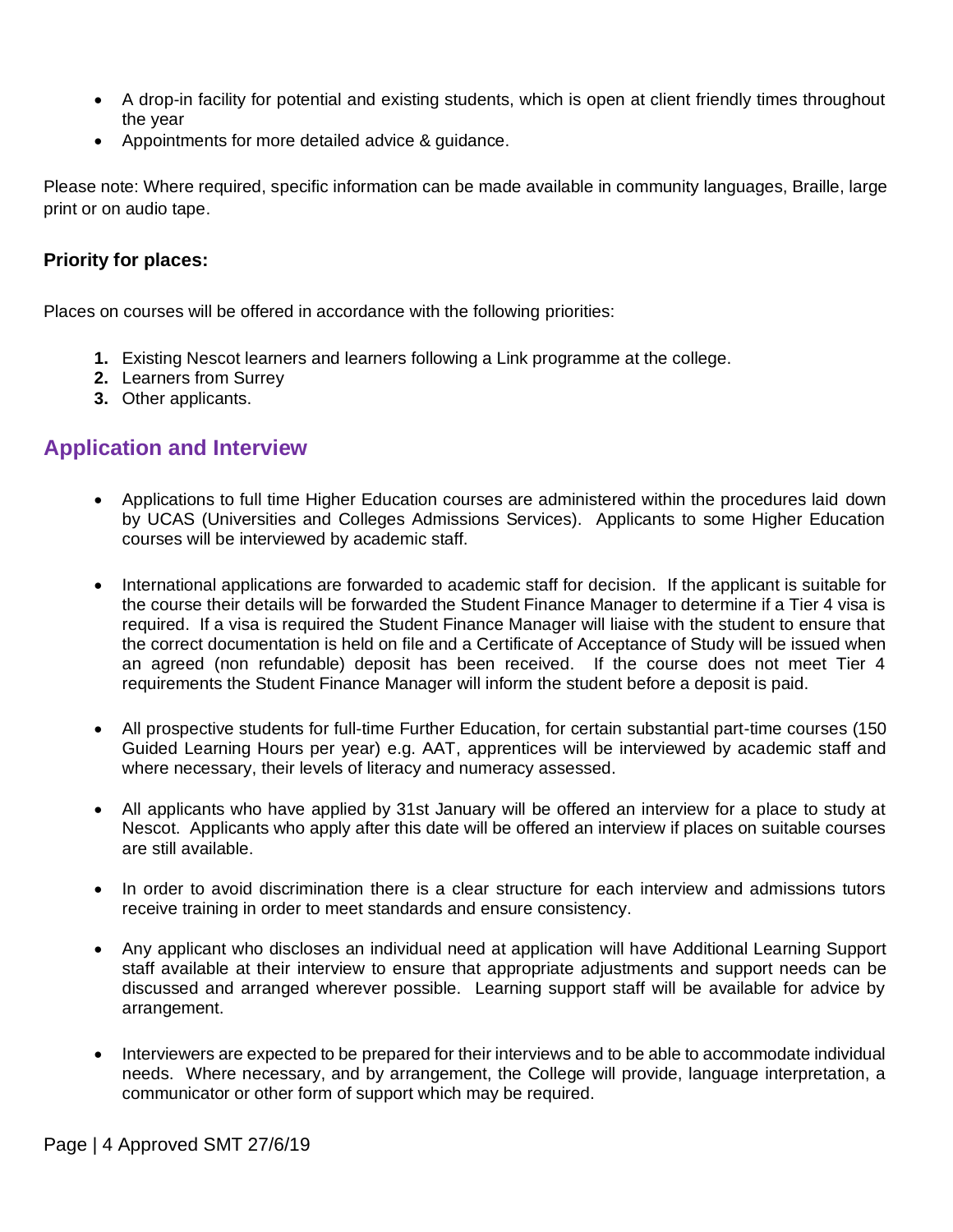- A drop-in facility for potential and existing students, which is open at client friendly times throughout the year
- Appointments for more detailed advice & guidance.

Please note: Where required, specific information can be made available in community languages, Braille, large print or on audio tape.

## **Priority for places:**

Places on courses will be offered in accordance with the following priorities:

- **1.** Existing Nescot learners and learners following a Link programme at the college.
- **2.** Learners from Surrey
- **3.** Other applicants.

# **Application and Interview**

- Applications to full time Higher Education courses are administered within the procedures laid down by UCAS (Universities and Colleges Admissions Services). Applicants to some Higher Education courses will be interviewed by academic staff.
- International applications are forwarded to academic staff for decision. If the applicant is suitable for the course their details will be forwarded the Student Finance Manager to determine if a Tier 4 visa is required. If a visa is required the Student Finance Manager will liaise with the student to ensure that the correct documentation is held on file and a Certificate of Acceptance of Study will be issued when an agreed (non refundable) deposit has been received. If the course does not meet Tier 4 requirements the Student Finance Manager will inform the student before a deposit is paid.
- All prospective students for full-time Further Education, for certain substantial part-time courses (150 Guided Learning Hours per year) e.g. AAT, apprentices will be interviewed by academic staff and where necessary, their levels of literacy and numeracy assessed.
- All applicants who have applied by 31st January will be offered an interview for a place to study at Nescot. Applicants who apply after this date will be offered an interview if places on suitable courses are still available.
- In order to avoid discrimination there is a clear structure for each interview and admissions tutors receive training in order to meet standards and ensure consistency.
- Any applicant who discloses an individual need at application will have Additional Learning Support staff available at their interview to ensure that appropriate adjustments and support needs can be discussed and arranged wherever possible. Learning support staff will be available for advice by arrangement.
- Interviewers are expected to be prepared for their interviews and to be able to accommodate individual needs. Where necessary, and by arrangement, the College will provide, language interpretation, a communicator or other form of support which may be required.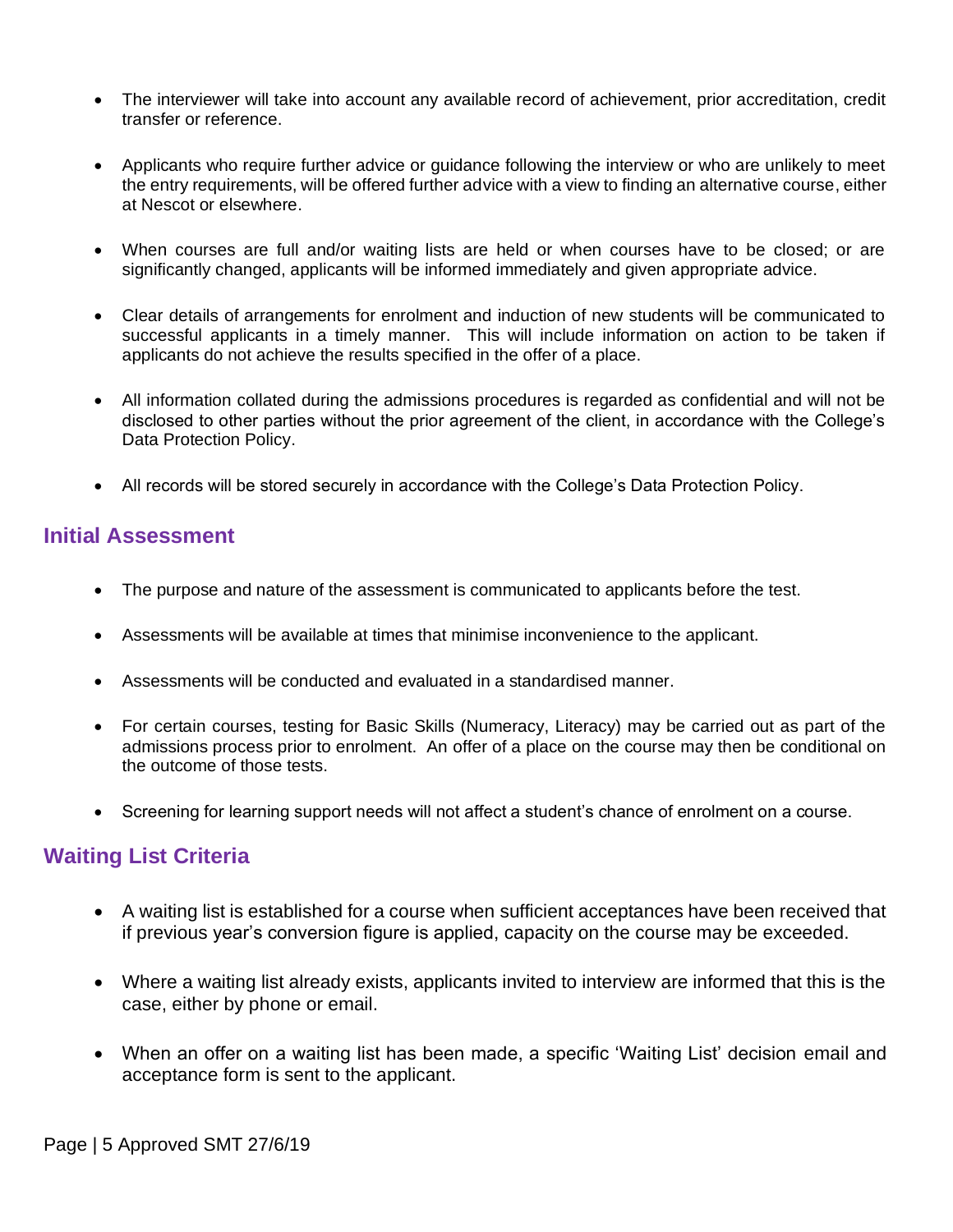- The interviewer will take into account any available record of achievement, prior accreditation, credit transfer or reference.
- Applicants who require further advice or guidance following the interview or who are unlikely to meet the entry requirements, will be offered further advice with a view to finding an alternative course, either at Nescot or elsewhere.
- When courses are full and/or waiting lists are held or when courses have to be closed; or are significantly changed, applicants will be informed immediately and given appropriate advice.
- Clear details of arrangements for enrolment and induction of new students will be communicated to successful applicants in a timely manner. This will include information on action to be taken if applicants do not achieve the results specified in the offer of a place.
- All information collated during the admissions procedures is regarded as confidential and will not be disclosed to other parties without the prior agreement of the client, in accordance with the College's Data Protection Policy.
- All records will be stored securely in accordance with the College's Data Protection Policy.

## **Initial Assessment**

- The purpose and nature of the assessment is communicated to applicants before the test.
- Assessments will be available at times that minimise inconvenience to the applicant.
- Assessments will be conducted and evaluated in a standardised manner.
- For certain courses, testing for Basic Skills (Numeracy, Literacy) may be carried out as part of the admissions process prior to enrolment. An offer of a place on the course may then be conditional on the outcome of those tests.
- Screening for learning support needs will not affect a student's chance of enrolment on a course.

# **Waiting List Criteria**

- A waiting list is established for a course when sufficient acceptances have been received that if previous year's conversion figure is applied, capacity on the course may be exceeded.
- Where a waiting list already exists, applicants invited to interview are informed that this is the case, either by phone or email.
- When an offer on a waiting list has been made, a specific 'Waiting List' decision email and acceptance form is sent to the applicant.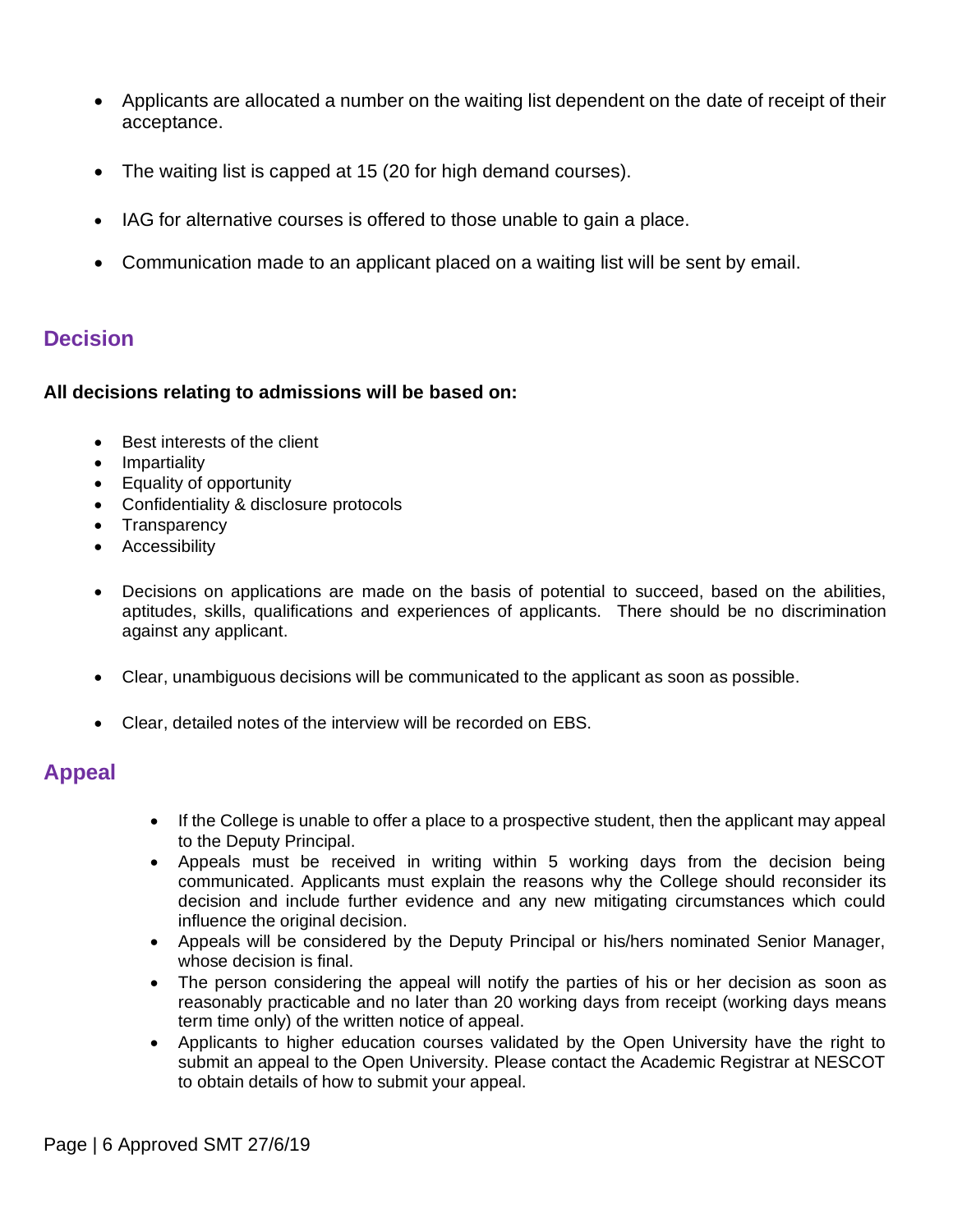- Applicants are allocated a number on the waiting list dependent on the date of receipt of their acceptance.
- The waiting list is capped at 15 (20 for high demand courses).
- IAG for alternative courses is offered to those unable to gain a place.
- Communication made to an applicant placed on a waiting list will be sent by email.

## **Decision**

### **All decisions relating to admissions will be based on:**

- Best interests of the client
- Impartiality
- Equality of opportunity
- Confidentiality & disclosure protocols
- Transparency
- Accessibility
- Decisions on applications are made on the basis of potential to succeed, based on the abilities, aptitudes, skills, qualifications and experiences of applicants. There should be no discrimination against any applicant.
- Clear, unambiguous decisions will be communicated to the applicant as soon as possible.
- Clear, detailed notes of the interview will be recorded on EBS.

## **Appeal**

- If the College is unable to offer a place to a prospective student, then the applicant may appeal to the Deputy Principal.
- Appeals must be received in writing within 5 working days from the decision being communicated. Applicants must explain the reasons why the College should reconsider its decision and include further evidence and any new mitigating circumstances which could influence the original decision.
- Appeals will be considered by the Deputy Principal or his/hers nominated Senior Manager, whose decision is final.
- The person considering the appeal will notify the parties of his or her decision as soon as reasonably practicable and no later than 20 working days from receipt (working days means term time only) of the written notice of appeal.
- Applicants to higher education courses validated by the Open University have the right to submit an appeal to the Open University. Please contact the Academic Registrar at NESCOT to obtain details of how to submit your appeal.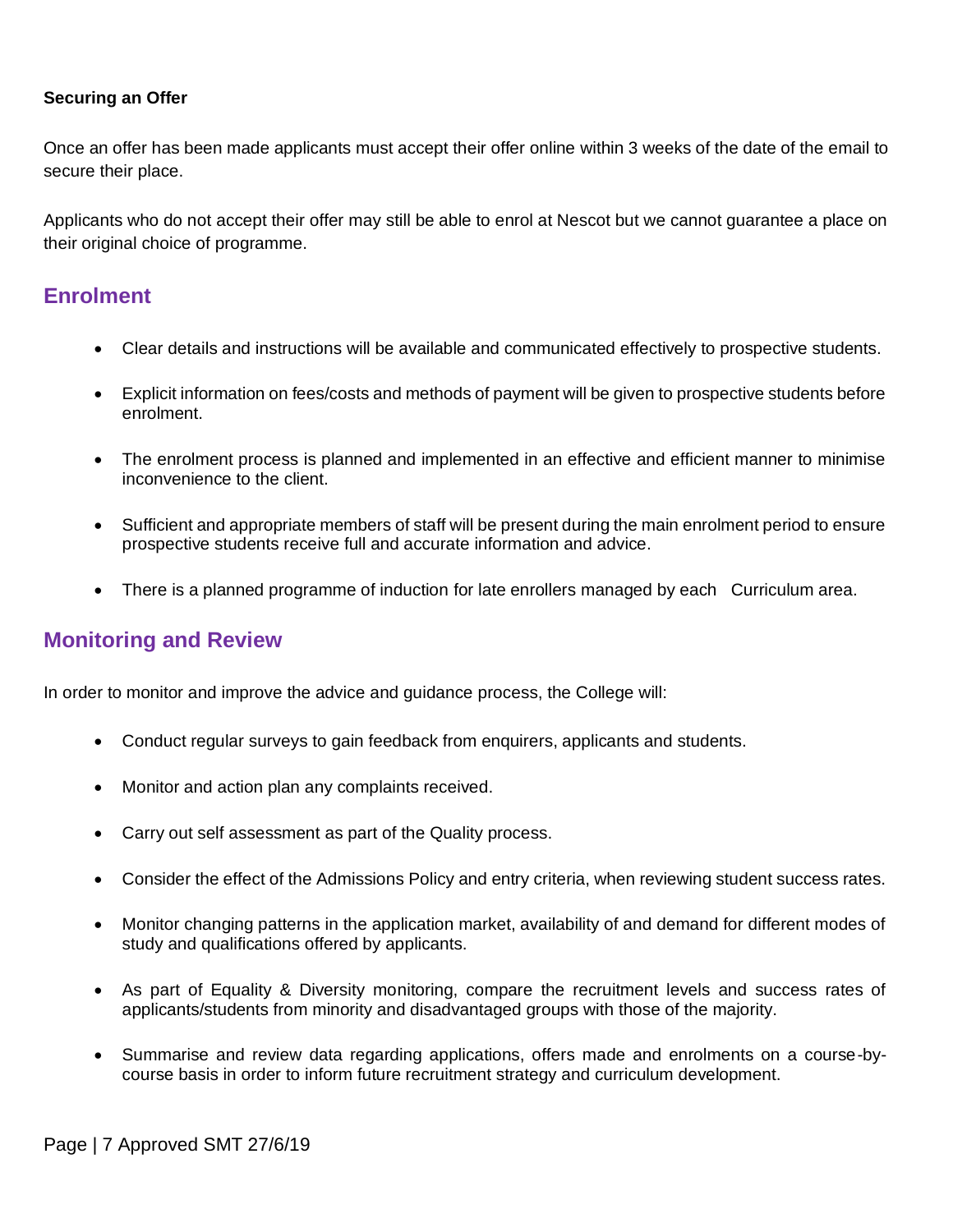#### **Securing an Offer**

Once an offer has been made applicants must accept their offer online within 3 weeks of the date of the email to secure their place.

Applicants who do not accept their offer may still be able to enrol at Nescot but we cannot guarantee a place on their original choice of programme.

## **Enrolment**

- Clear details and instructions will be available and communicated effectively to prospective students.
- Explicit information on fees/costs and methods of payment will be given to prospective students before enrolment.
- The enrolment process is planned and implemented in an effective and efficient manner to minimise inconvenience to the client.
- Sufficient and appropriate members of staff will be present during the main enrolment period to ensure prospective students receive full and accurate information and advice.
- There is a planned programme of induction for late enrollers managed by each Curriculum area.

## **Monitoring and Review**

In order to monitor and improve the advice and guidance process, the College will:

- Conduct regular surveys to gain feedback from enquirers, applicants and students.
- Monitor and action plan any complaints received.
- Carry out self assessment as part of the Quality process.
- Consider the effect of the Admissions Policy and entry criteria, when reviewing student success rates.
- Monitor changing patterns in the application market, availability of and demand for different modes of study and qualifications offered by applicants.
- As part of Equality & Diversity monitoring, compare the recruitment levels and success rates of applicants/students from minority and disadvantaged groups with those of the majority.
- Summarise and review data regarding applications, offers made and enrolments on a course-bycourse basis in order to inform future recruitment strategy and curriculum development.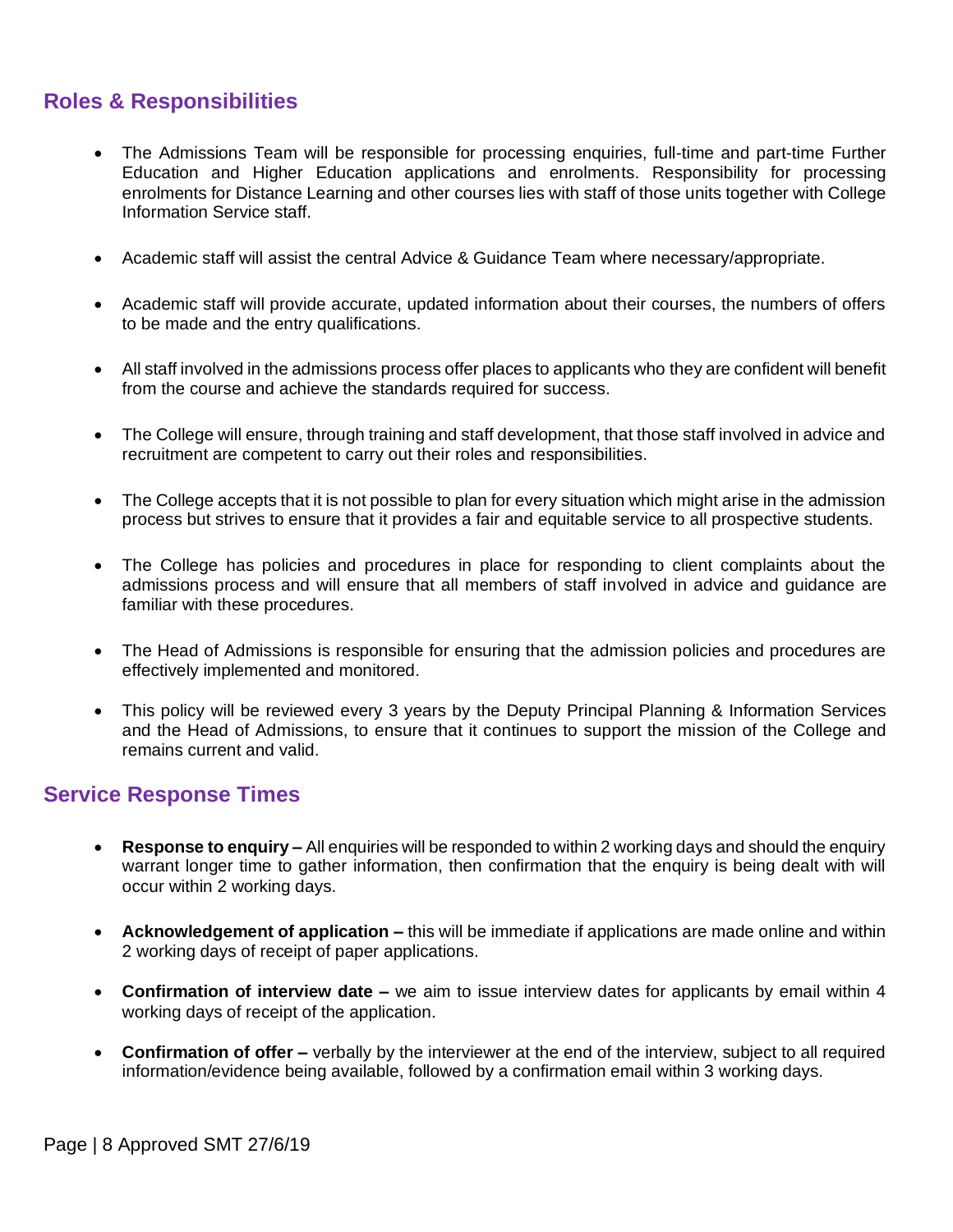# **Roles & Responsibilities**

- The Admissions Team will be responsible for processing enquiries, full-time and part-time Further Education and Higher Education applications and enrolments. Responsibility for processing enrolments for Distance Learning and other courses lies with staff of those units together with College Information Service staff.
- Academic staff will assist the central Advice & Guidance Team where necessary/appropriate.
- Academic staff will provide accurate, updated information about their courses, the numbers of offers to be made and the entry qualifications.
- All staff involved in the admissions process offer places to applicants who they are confident will benefit from the course and achieve the standards required for success.
- The College will ensure, through training and staff development, that those staff involved in advice and recruitment are competent to carry out their roles and responsibilities.
- The College accepts that it is not possible to plan for every situation which might arise in the admission process but strives to ensure that it provides a fair and equitable service to all prospective students.
- The College has policies and procedures in place for responding to client complaints about the admissions process and will ensure that all members of staff involved in advice and guidance are familiar with these procedures.
- The Head of Admissions is responsible for ensuring that the admission policies and procedures are effectively implemented and monitored.
- This policy will be reviewed every 3 years by the Deputy Principal Planning & Information Services and the Head of Admissions, to ensure that it continues to support the mission of the College and remains current and valid.

## **Service Response Times**

- **Response to enquiry –** All enquiries will be responded to within 2 working days and should the enquiry warrant longer time to gather information, then confirmation that the enquiry is being dealt with will occur within 2 working days.
- **Acknowledgement of application –** this will be immediate if applications are made online and within 2 working days of receipt of paper applications.
- **Confirmation of interview date –** we aim to issue interview dates for applicants by email within 4 working days of receipt of the application.
- **Confirmation of offer –** verbally by the interviewer at the end of the interview, subject to all required information/evidence being available, followed by a confirmation email within 3 working days.